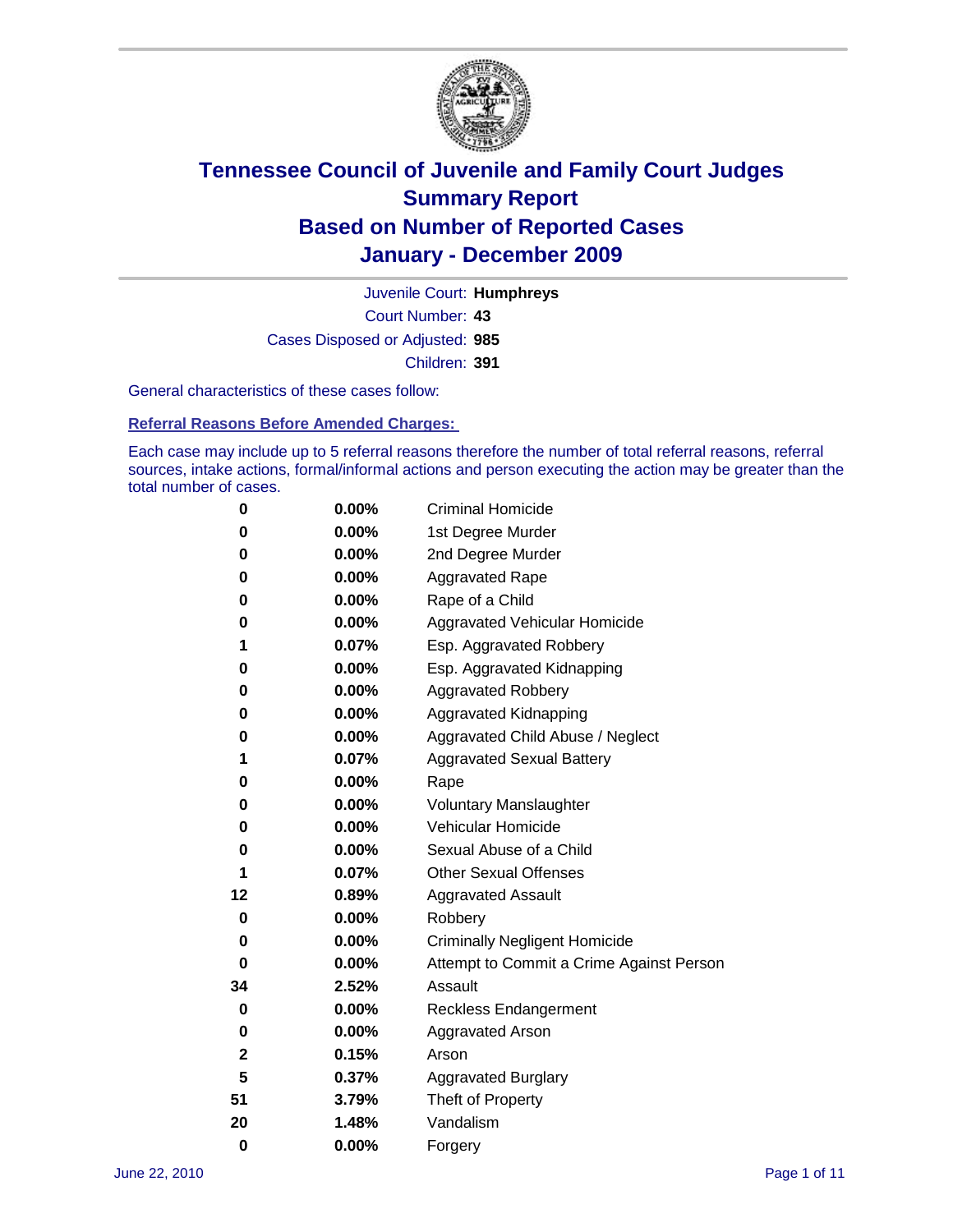

Court Number: **43** Juvenile Court: **Humphreys** Cases Disposed or Adjusted: **985** Children: **391**

General characteristics of these cases follow:

**Referral Reasons Before Amended Charges:** 

Each case may include up to 5 referral reasons therefore the number of total referral reasons, referral sources, intake actions, formal/informal actions and person executing the action may be greater than the total number of cases.

| 0  | 0.00%    | <b>Criminal Homicide</b>                 |
|----|----------|------------------------------------------|
| 0  | 0.00%    | 1st Degree Murder                        |
| 0  | 0.00%    | 2nd Degree Murder                        |
| 0  | 0.00%    | <b>Aggravated Rape</b>                   |
| 0  | 0.00%    | Rape of a Child                          |
| 0  | 0.00%    | Aggravated Vehicular Homicide            |
| 1  | 0.07%    | Esp. Aggravated Robbery                  |
| 0  | 0.00%    | Esp. Aggravated Kidnapping               |
| 0  | 0.00%    | <b>Aggravated Robbery</b>                |
| 0  | 0.00%    | Aggravated Kidnapping                    |
| 0  | 0.00%    | Aggravated Child Abuse / Neglect         |
| 1  | 0.07%    | <b>Aggravated Sexual Battery</b>         |
| 0  | 0.00%    | Rape                                     |
| 0  | $0.00\%$ | <b>Voluntary Manslaughter</b>            |
| 0  | 0.00%    | Vehicular Homicide                       |
| 0  | 0.00%    | Sexual Abuse of a Child                  |
| 1  | 0.07%    | <b>Other Sexual Offenses</b>             |
| 12 | 0.89%    | <b>Aggravated Assault</b>                |
| 0  | $0.00\%$ | Robbery                                  |
| 0  | 0.00%    | <b>Criminally Negligent Homicide</b>     |
| 0  | 0.00%    | Attempt to Commit a Crime Against Person |
| 34 | 2.52%    | Assault                                  |
| 0  | 0.00%    | <b>Reckless Endangerment</b>             |
| 0  | 0.00%    | <b>Aggravated Arson</b>                  |
| 2  | 0.15%    | Arson                                    |
| 5  | 0.37%    | <b>Aggravated Burglary</b>               |
| 51 | 3.79%    | Theft of Property                        |
| 20 | 1.48%    | Vandalism                                |
| 0  | 0.00%    | Forgery                                  |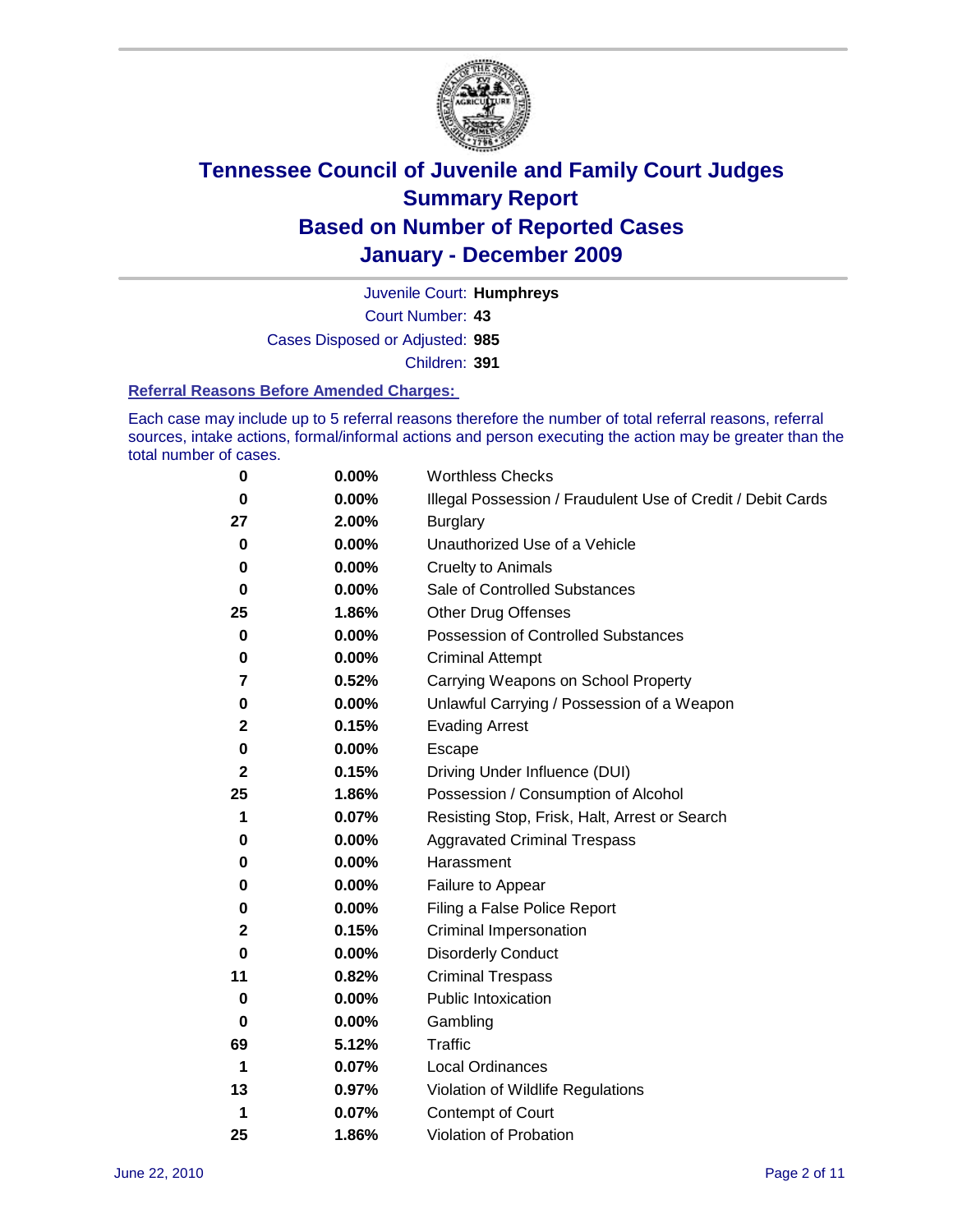

Court Number: **43** Juvenile Court: **Humphreys** Cases Disposed or Adjusted: **985** Children: **391**

#### **Referral Reasons Before Amended Charges:**

Each case may include up to 5 referral reasons therefore the number of total referral reasons, referral sources, intake actions, formal/informal actions and person executing the action may be greater than the total number of cases.

| 0            | 0.00% | <b>Worthless Checks</b>                                     |
|--------------|-------|-------------------------------------------------------------|
| 0            | 0.00% | Illegal Possession / Fraudulent Use of Credit / Debit Cards |
| 27           | 2.00% | <b>Burglary</b>                                             |
| 0            | 0.00% | Unauthorized Use of a Vehicle                               |
| 0            | 0.00% | <b>Cruelty to Animals</b>                                   |
| 0            | 0.00% | Sale of Controlled Substances                               |
| 25           | 1.86% | <b>Other Drug Offenses</b>                                  |
| 0            | 0.00% | <b>Possession of Controlled Substances</b>                  |
| 0            | 0.00% | <b>Criminal Attempt</b>                                     |
| 7            | 0.52% | Carrying Weapons on School Property                         |
| 0            | 0.00% | Unlawful Carrying / Possession of a Weapon                  |
| $\mathbf{2}$ | 0.15% | <b>Evading Arrest</b>                                       |
| 0            | 0.00% | Escape                                                      |
| 2            | 0.15% | Driving Under Influence (DUI)                               |
| 25           | 1.86% | Possession / Consumption of Alcohol                         |
| 1            | 0.07% | Resisting Stop, Frisk, Halt, Arrest or Search               |
| 0            | 0.00% | <b>Aggravated Criminal Trespass</b>                         |
| 0            | 0.00% | Harassment                                                  |
| 0            | 0.00% | Failure to Appear                                           |
| 0            | 0.00% | Filing a False Police Report                                |
| 2            | 0.15% | Criminal Impersonation                                      |
| 0            | 0.00% | <b>Disorderly Conduct</b>                                   |
| 11           | 0.82% | <b>Criminal Trespass</b>                                    |
| 0            | 0.00% | <b>Public Intoxication</b>                                  |
| 0            | 0.00% | Gambling                                                    |
| 69           | 5.12% | <b>Traffic</b>                                              |
| 1            | 0.07% | <b>Local Ordinances</b>                                     |
| 13           | 0.97% | Violation of Wildlife Regulations                           |
| 1            | 0.07% | Contempt of Court                                           |
| 25           | 1.86% | Violation of Probation                                      |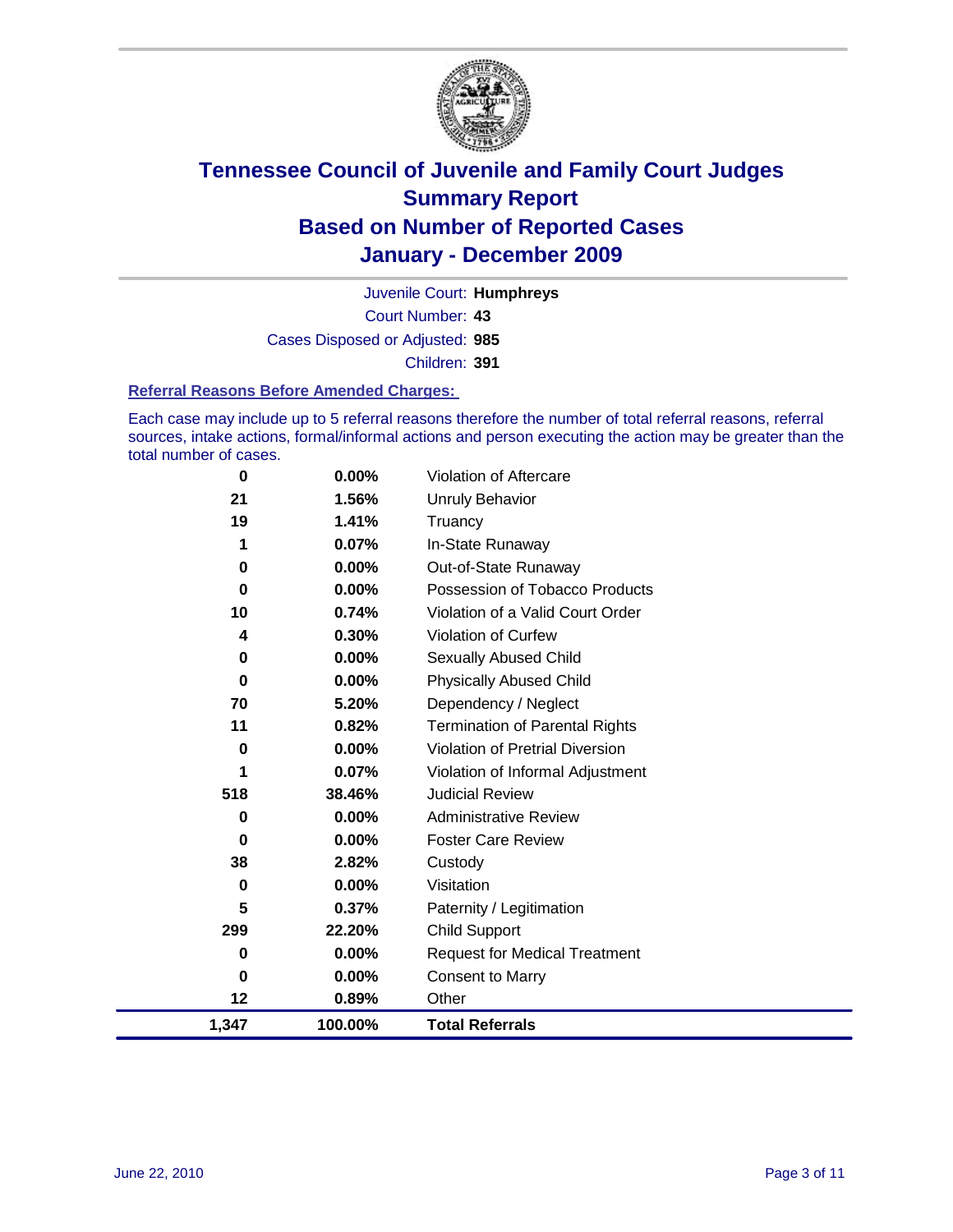

Court Number: **43** Juvenile Court: **Humphreys** Cases Disposed or Adjusted: **985** Children: **391**

#### **Referral Reasons Before Amended Charges:**

Each case may include up to 5 referral reasons therefore the number of total referral reasons, referral sources, intake actions, formal/informal actions and person executing the action may be greater than the total number of cases.

| 0        | 0.00%    | Violation of Aftercare                 |
|----------|----------|----------------------------------------|
| 21       | 1.56%    | <b>Unruly Behavior</b>                 |
| 19       | 1.41%    | Truancy                                |
| 1        | 0.07%    | In-State Runaway                       |
| 0        | 0.00%    | Out-of-State Runaway                   |
| $\bf{0}$ | $0.00\%$ | Possession of Tobacco Products         |
| 10       | 0.74%    | Violation of a Valid Court Order       |
| 4        | 0.30%    | Violation of Curfew                    |
| 0        | $0.00\%$ | Sexually Abused Child                  |
| 0        | 0.00%    | <b>Physically Abused Child</b>         |
| 70       | 5.20%    | Dependency / Neglect                   |
| 11       | 0.82%    | <b>Termination of Parental Rights</b>  |
| 0        | $0.00\%$ | <b>Violation of Pretrial Diversion</b> |
| 1        | 0.07%    | Violation of Informal Adjustment       |
| 518      | 38.46%   | <b>Judicial Review</b>                 |
| 0        | 0.00%    | <b>Administrative Review</b>           |
| 0        | $0.00\%$ | <b>Foster Care Review</b>              |
| 38       | 2.82%    | Custody                                |
| $\bf{0}$ | 0.00%    | Visitation                             |
| 5        | 0.37%    | Paternity / Legitimation               |
| 299      | 22.20%   | <b>Child Support</b>                   |
| 0        | 0.00%    | <b>Request for Medical Treatment</b>   |
| 0        | 0.00%    | <b>Consent to Marry</b>                |
| 12       | 0.89%    | Other                                  |
| 1,347    | 100.00%  | <b>Total Referrals</b>                 |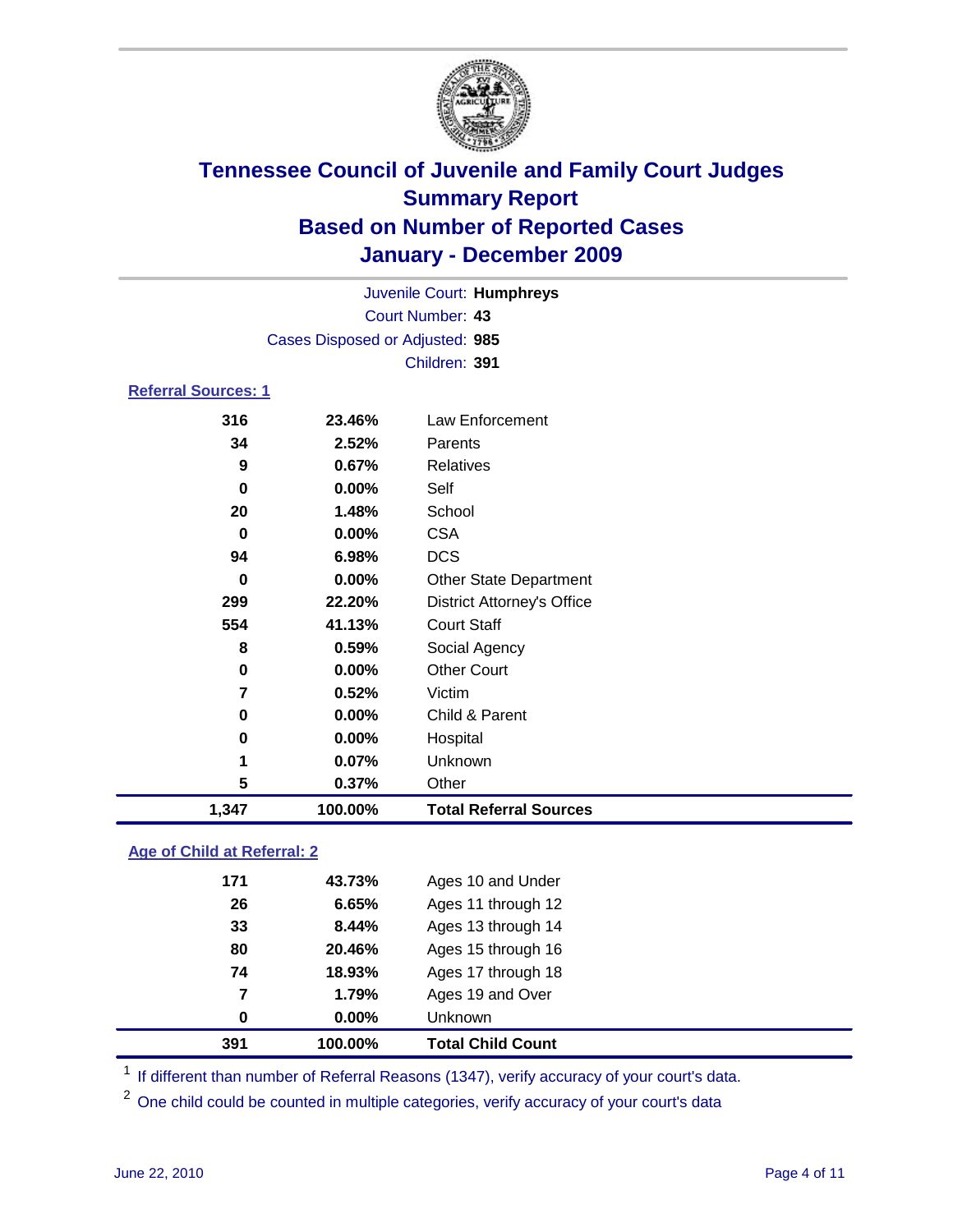

|                                 | Juvenile Court: Humphreys |                                   |  |  |
|---------------------------------|---------------------------|-----------------------------------|--|--|
|                                 | Court Number: 43          |                                   |  |  |
| Cases Disposed or Adjusted: 985 |                           |                                   |  |  |
|                                 |                           | Children: 391                     |  |  |
| <b>Referral Sources: 1</b>      |                           |                                   |  |  |
| 316                             | 23.46%                    | Law Enforcement                   |  |  |
| 34                              | 2.52%                     | Parents                           |  |  |
| 9                               | 0.67%                     | Relatives                         |  |  |
| $\bf{0}$                        | 0.00%                     | Self                              |  |  |
| 20                              | 1.48%                     | School                            |  |  |
| $\bf{0}$                        | 0.00%                     | <b>CSA</b>                        |  |  |
| 94                              | 6.98%                     | <b>DCS</b>                        |  |  |
| $\bf{0}$                        | 0.00%                     | <b>Other State Department</b>     |  |  |
| 299                             | 22.20%                    | <b>District Attorney's Office</b> |  |  |
| 554                             | 41.13%                    | <b>Court Staff</b>                |  |  |
| 8                               | 0.59%                     | Social Agency                     |  |  |
| 0                               | 0.00%                     | <b>Other Court</b>                |  |  |
| $\overline{7}$                  | 0.52%                     | Victim                            |  |  |
| $\bf{0}$                        | 0.00%                     | Child & Parent                    |  |  |
| $\bf{0}$                        | 0.00%                     | Hospital                          |  |  |
| 1                               | 0.07%                     | Unknown                           |  |  |
| 5                               | 0.37%                     | Other                             |  |  |
| 1,347                           | 100.00%                   | <b>Total Referral Sources</b>     |  |  |

### **Age of Child at Referral: 2**

| 0   |        |                    |  |
|-----|--------|--------------------|--|
|     |        | <b>Unknown</b>     |  |
| 7   | 1.79%  | Ages 19 and Over   |  |
| 74  | 18.93% | Ages 17 through 18 |  |
| 80  | 20.46% | Ages 15 through 16 |  |
| 33  | 8.44%  | Ages 13 through 14 |  |
| 26  | 6.65%  | Ages 11 through 12 |  |
| 171 | 43.73% | Ages 10 and Under  |  |
|     |        | $0.00\%$           |  |

<sup>1</sup> If different than number of Referral Reasons (1347), verify accuracy of your court's data.

<sup>2</sup> One child could be counted in multiple categories, verify accuracy of your court's data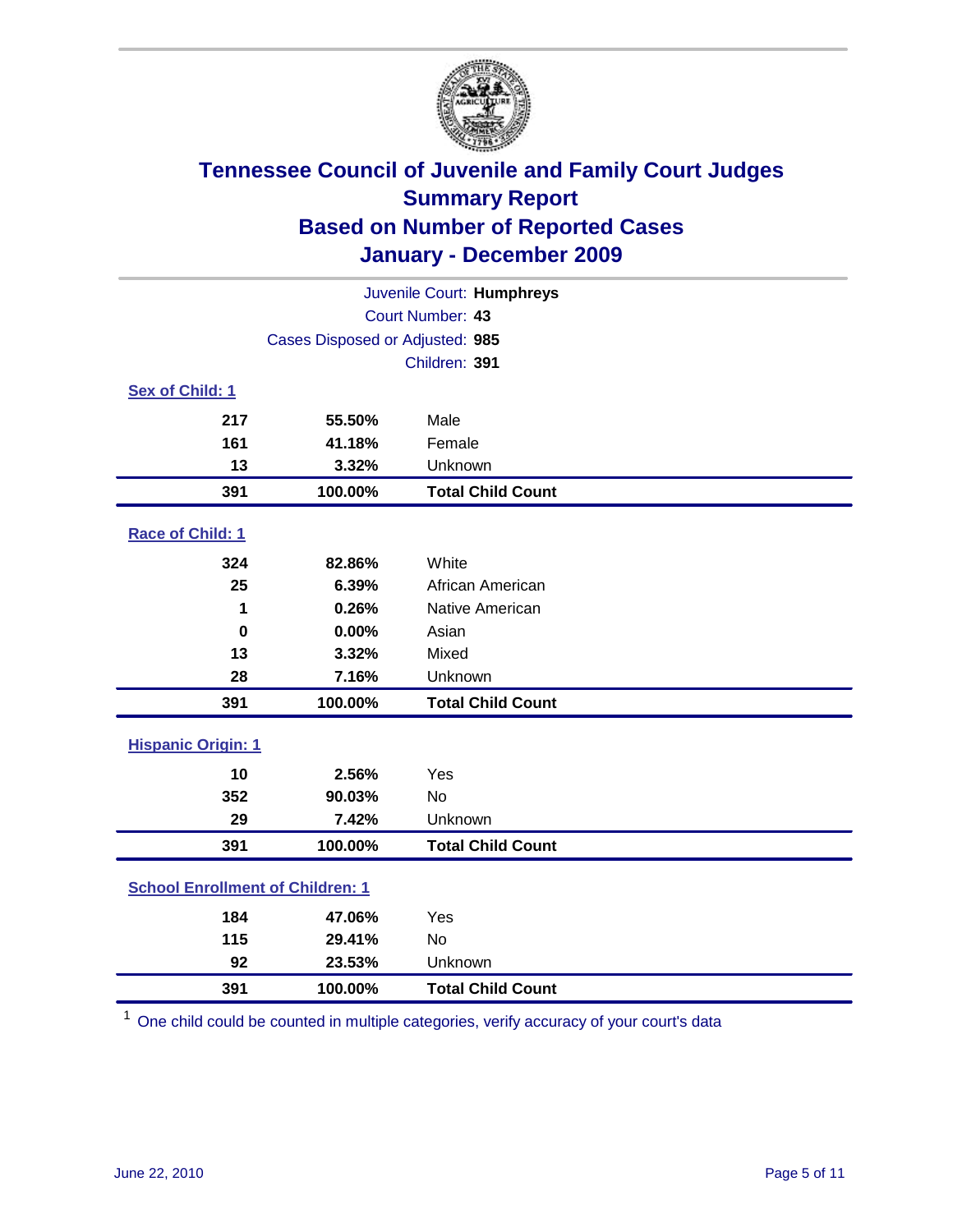

| Juvenile Court: Humphreys               |                                 |                          |  |  |
|-----------------------------------------|---------------------------------|--------------------------|--|--|
|                                         | Court Number: 43                |                          |  |  |
|                                         | Cases Disposed or Adjusted: 985 |                          |  |  |
|                                         |                                 | Children: 391            |  |  |
| Sex of Child: 1                         |                                 |                          |  |  |
| 217                                     | 55.50%                          | Male                     |  |  |
| 161                                     | 41.18%                          | Female                   |  |  |
| 13                                      | 3.32%                           | Unknown                  |  |  |
| 391                                     | 100.00%                         | <b>Total Child Count</b> |  |  |
| Race of Child: 1                        |                                 |                          |  |  |
| 324                                     | 82.86%                          | White                    |  |  |
| 25                                      | 6.39%                           | African American         |  |  |
| 1                                       | 0.26%                           | Native American          |  |  |
| $\mathbf 0$                             | 0.00%                           | Asian                    |  |  |
| 13                                      | 3.32%                           | Mixed                    |  |  |
| 28                                      | 7.16%                           | Unknown                  |  |  |
| 391                                     | 100.00%                         | <b>Total Child Count</b> |  |  |
| <b>Hispanic Origin: 1</b>               |                                 |                          |  |  |
| 10                                      | 2.56%                           | Yes                      |  |  |
| 352                                     | 90.03%                          | <b>No</b>                |  |  |
| 29                                      | 7.42%                           | Unknown                  |  |  |
| 391                                     | 100.00%                         | <b>Total Child Count</b> |  |  |
| <b>School Enrollment of Children: 1</b> |                                 |                          |  |  |
| 184                                     | 47.06%                          | Yes                      |  |  |
| 115                                     | 29.41%                          | No                       |  |  |
| 92                                      | 23.53%                          | Unknown                  |  |  |
| 391                                     | 100.00%                         | <b>Total Child Count</b> |  |  |

One child could be counted in multiple categories, verify accuracy of your court's data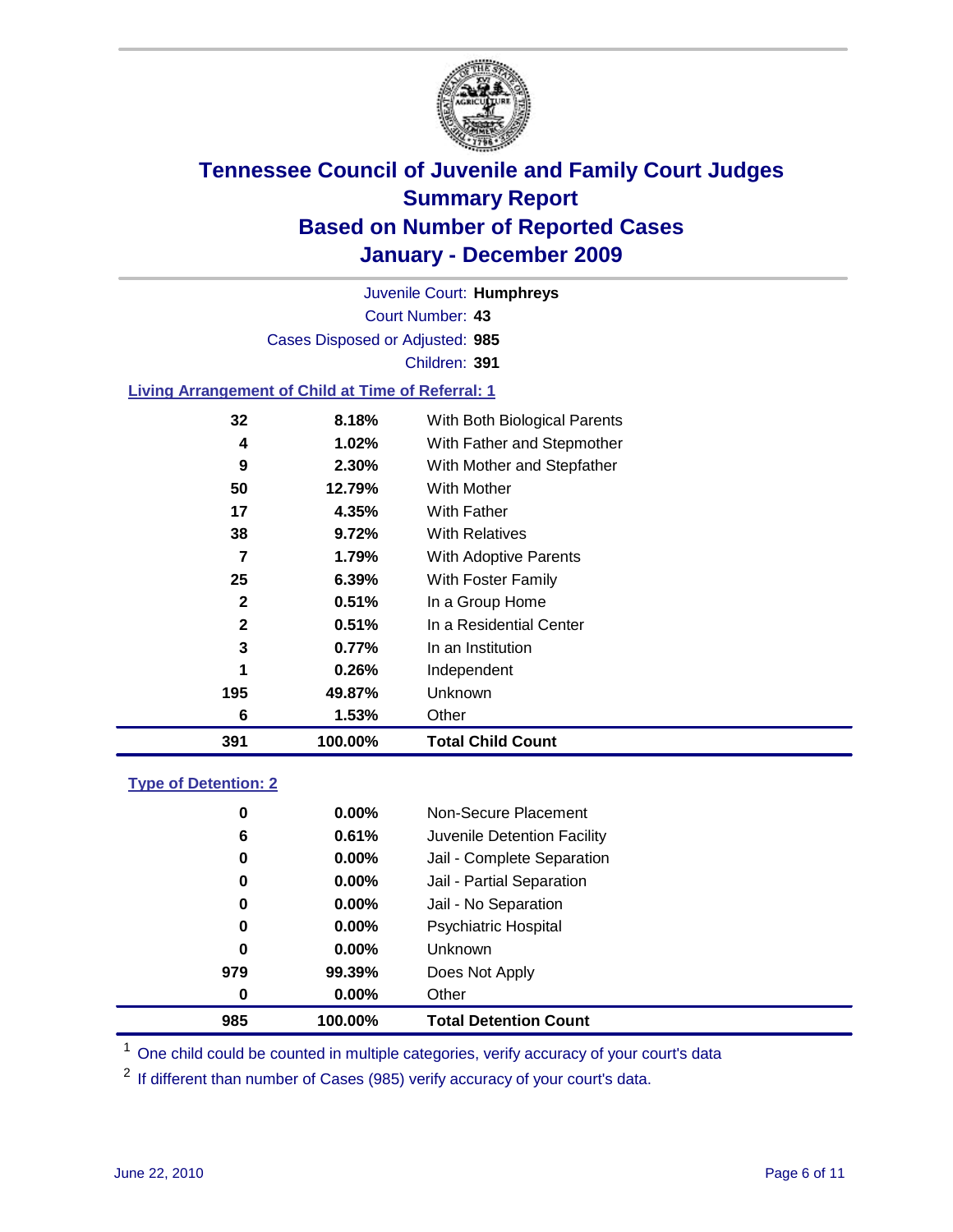

Court Number: **43** Juvenile Court: **Humphreys** Cases Disposed or Adjusted: **985** Children: **391**

#### **Living Arrangement of Child at Time of Referral: 1**

| 391          | 100.00% | <b>Total Child Count</b>     |
|--------------|---------|------------------------------|
| 6            | 1.53%   | Other                        |
| 195          | 49.87%  | Unknown                      |
| 1            | 0.26%   | Independent                  |
| 3            | 0.77%   | In an Institution            |
| $\mathbf{2}$ | 0.51%   | In a Residential Center      |
| $\mathbf{2}$ | 0.51%   | In a Group Home              |
| 25           | 6.39%   | With Foster Family           |
| 7            | 1.79%   | With Adoptive Parents        |
| 38           | 9.72%   | <b>With Relatives</b>        |
| 17           | 4.35%   | <b>With Father</b>           |
| 50           | 12.79%  | With Mother                  |
| 9            | 2.30%   | With Mother and Stepfather   |
| 4            | 1.02%   | With Father and Stepmother   |
| 32           | 8.18%   | With Both Biological Parents |
|              |         |                              |

#### **Type of Detention: 2**

| 985      | 100.00%  | <b>Total Detention Count</b> |
|----------|----------|------------------------------|
| 0        | $0.00\%$ | Other                        |
| 979      | 99.39%   | Does Not Apply               |
| 0        | $0.00\%$ | Unknown                      |
| 0        | 0.00%    | <b>Psychiatric Hospital</b>  |
| $\bf{0}$ | 0.00%    | Jail - No Separation         |
| 0        | $0.00\%$ | Jail - Partial Separation    |
| 0        | $0.00\%$ | Jail - Complete Separation   |
| 6        | 0.61%    | Juvenile Detention Facility  |
| 0        | $0.00\%$ | Non-Secure Placement         |
|          |          |                              |

<sup>1</sup> One child could be counted in multiple categories, verify accuracy of your court's data

<sup>2</sup> If different than number of Cases (985) verify accuracy of your court's data.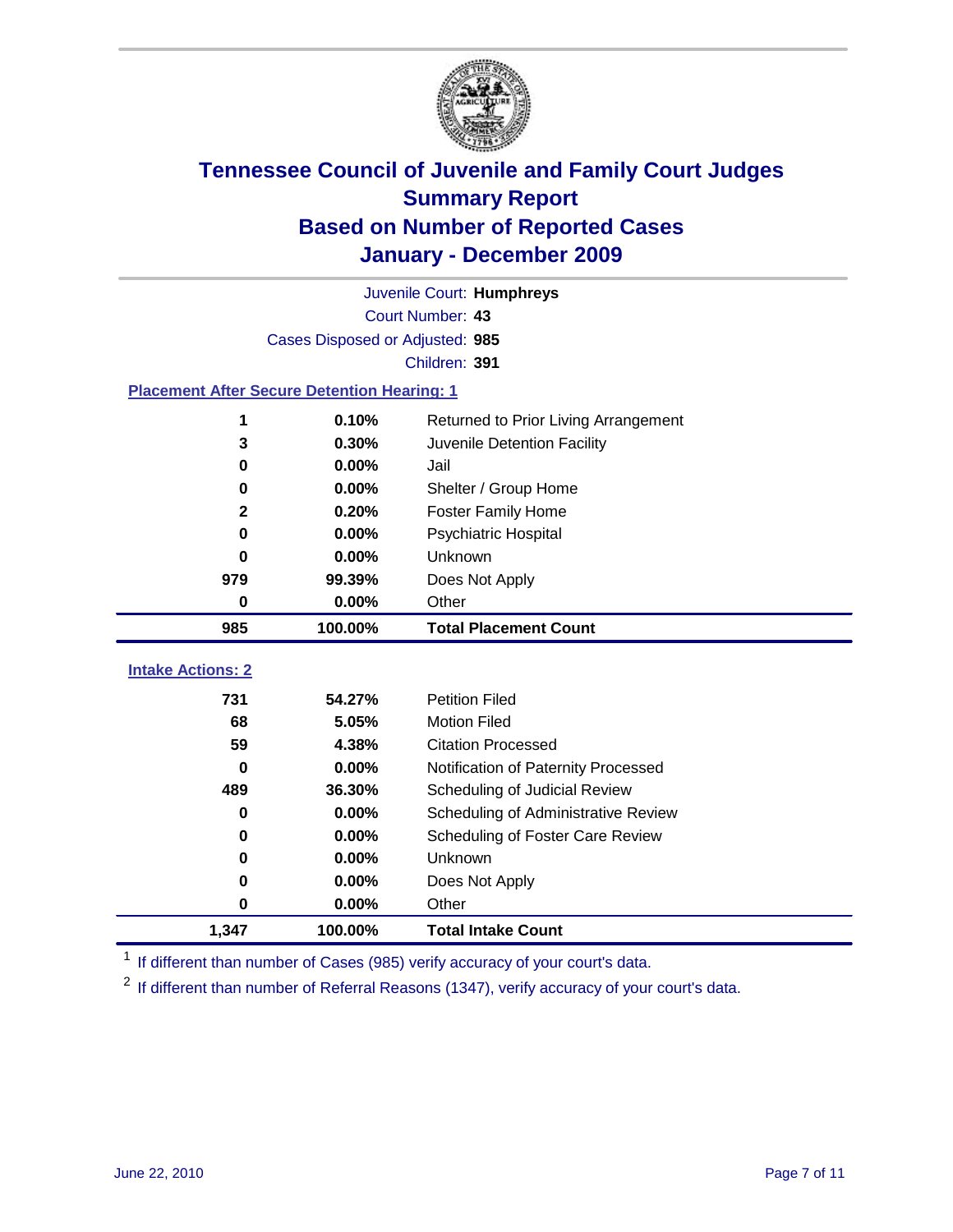

|                                                    | Juvenile Court: Humphreys       |                                      |  |  |  |
|----------------------------------------------------|---------------------------------|--------------------------------------|--|--|--|
|                                                    | Court Number: 43                |                                      |  |  |  |
|                                                    | Cases Disposed or Adjusted: 985 |                                      |  |  |  |
|                                                    |                                 | Children: 391                        |  |  |  |
| <b>Placement After Secure Detention Hearing: 1</b> |                                 |                                      |  |  |  |
| 1                                                  | 0.10%                           | Returned to Prior Living Arrangement |  |  |  |
| 3                                                  | 0.30%                           | Juvenile Detention Facility          |  |  |  |
| 0                                                  | 0.00%                           | Jail                                 |  |  |  |
| 0                                                  | 0.00%                           | Shelter / Group Home                 |  |  |  |
| $\mathbf 2$                                        | 0.20%                           | <b>Foster Family Home</b>            |  |  |  |
| 0                                                  | 0.00%                           | Psychiatric Hospital                 |  |  |  |
| 0                                                  | 0.00%                           | Unknown                              |  |  |  |
| 979                                                | 99.39%                          | Does Not Apply                       |  |  |  |
| 0                                                  | 0.00%                           | Other                                |  |  |  |
| 985                                                | 100.00%                         | <b>Total Placement Count</b>         |  |  |  |
|                                                    |                                 |                                      |  |  |  |
| <b>Intake Actions: 2</b>                           |                                 |                                      |  |  |  |
| 731                                                | 54.27%                          | <b>Petition Filed</b>                |  |  |  |
| 68                                                 | 5.05%                           | <b>Motion Filed</b>                  |  |  |  |
| 59                                                 | 4.38%                           | <b>Citation Processed</b>            |  |  |  |
| 0                                                  | 0.00%                           | Notification of Paternity Processed  |  |  |  |
| 489                                                | 36.30%                          | Scheduling of Judicial Review        |  |  |  |
| 0                                                  | 0.00%                           | Scheduling of Administrative Review  |  |  |  |
| 0                                                  | 0.00%                           | Scheduling of Foster Care Review     |  |  |  |
| 0                                                  | 0.00%                           | Unknown                              |  |  |  |
| 0                                                  | 0.00%                           | Does Not Apply                       |  |  |  |
| 0                                                  | 0.00%                           | Other                                |  |  |  |
| 1,347                                              | 100.00%                         | <b>Total Intake Count</b>            |  |  |  |

<sup>1</sup> If different than number of Cases (985) verify accuracy of your court's data.

<sup>2</sup> If different than number of Referral Reasons (1347), verify accuracy of your court's data.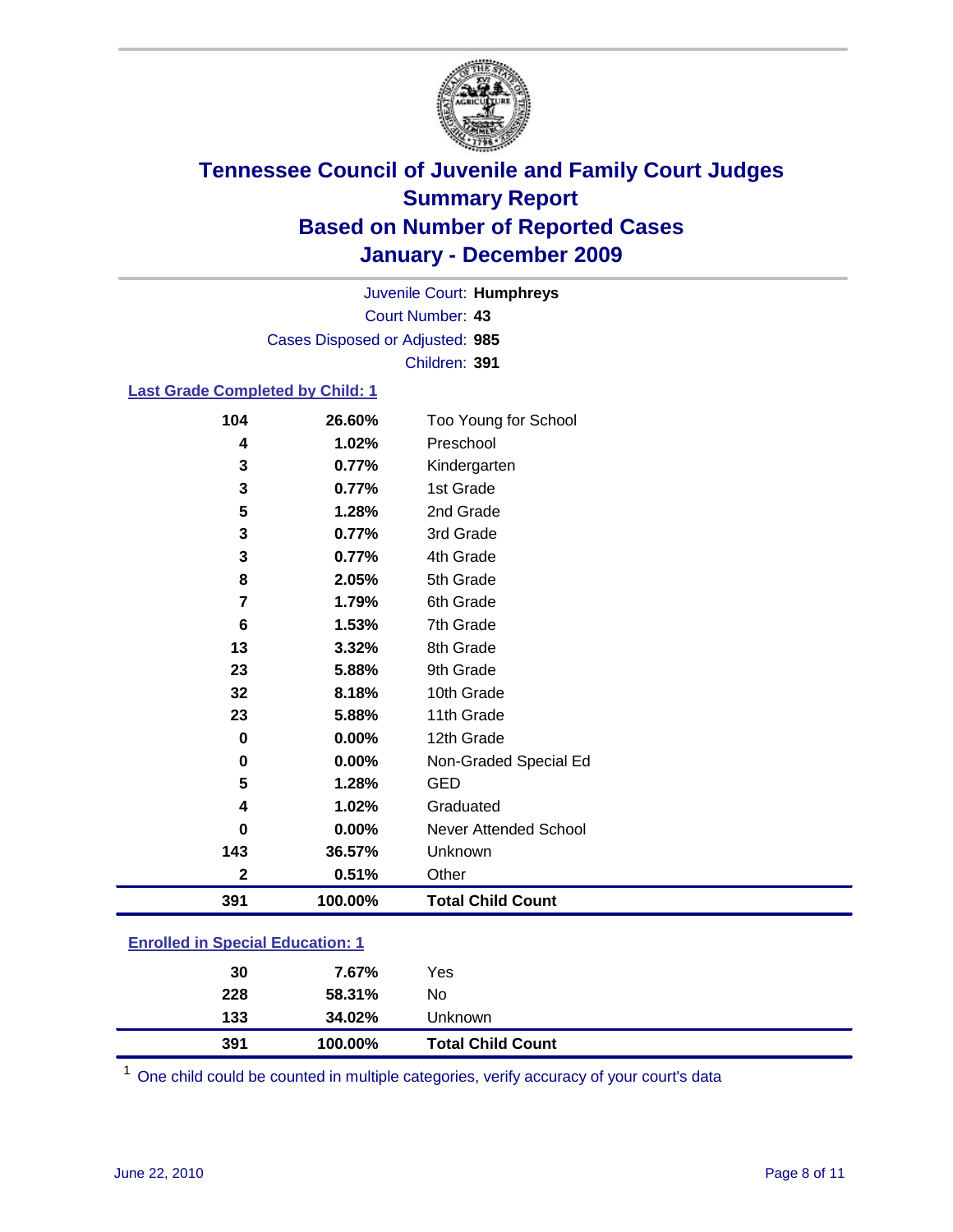

Court Number: **43** Juvenile Court: **Humphreys** Cases Disposed or Adjusted: **985** Children: **391**

#### **Last Grade Completed by Child: 1**

| 104                                     | 26.60%  | Too Young for School         |  |
|-----------------------------------------|---------|------------------------------|--|
| 4                                       | 1.02%   | Preschool                    |  |
| 3                                       | 0.77%   | Kindergarten                 |  |
| 3                                       | 0.77%   | 1st Grade                    |  |
| 5                                       | 1.28%   | 2nd Grade                    |  |
| 3                                       | 0.77%   | 3rd Grade                    |  |
| 3                                       | 0.77%   | 4th Grade                    |  |
| 8                                       | 2.05%   | 5th Grade                    |  |
| 7                                       | 1.79%   | 6th Grade                    |  |
| 6                                       | 1.53%   | 7th Grade                    |  |
| 13                                      | 3.32%   | 8th Grade                    |  |
| 23                                      | 5.88%   | 9th Grade                    |  |
| 32                                      | 8.18%   | 10th Grade                   |  |
| 23                                      | 5.88%   | 11th Grade                   |  |
| 0                                       | 0.00%   | 12th Grade                   |  |
| 0                                       | 0.00%   | Non-Graded Special Ed        |  |
| 5                                       | 1.28%   | <b>GED</b>                   |  |
| 4                                       | 1.02%   | Graduated                    |  |
| 0                                       | 0.00%   | <b>Never Attended School</b> |  |
| 143                                     | 36.57%  | Unknown                      |  |
| $\mathbf 2$                             | 0.51%   | Other                        |  |
| 391                                     | 100.00% | <b>Total Child Count</b>     |  |
| <b>Enrolled in Special Education: 1</b> |         |                              |  |

| 391 | 100.00% | <b>Total Child Count</b> |  |
|-----|---------|--------------------------|--|
| 133 | 34.02%  | Unknown                  |  |
| 228 | 58.31%  | No                       |  |
| 30  | 7.67%   | Yes                      |  |
|     |         |                          |  |

One child could be counted in multiple categories, verify accuracy of your court's data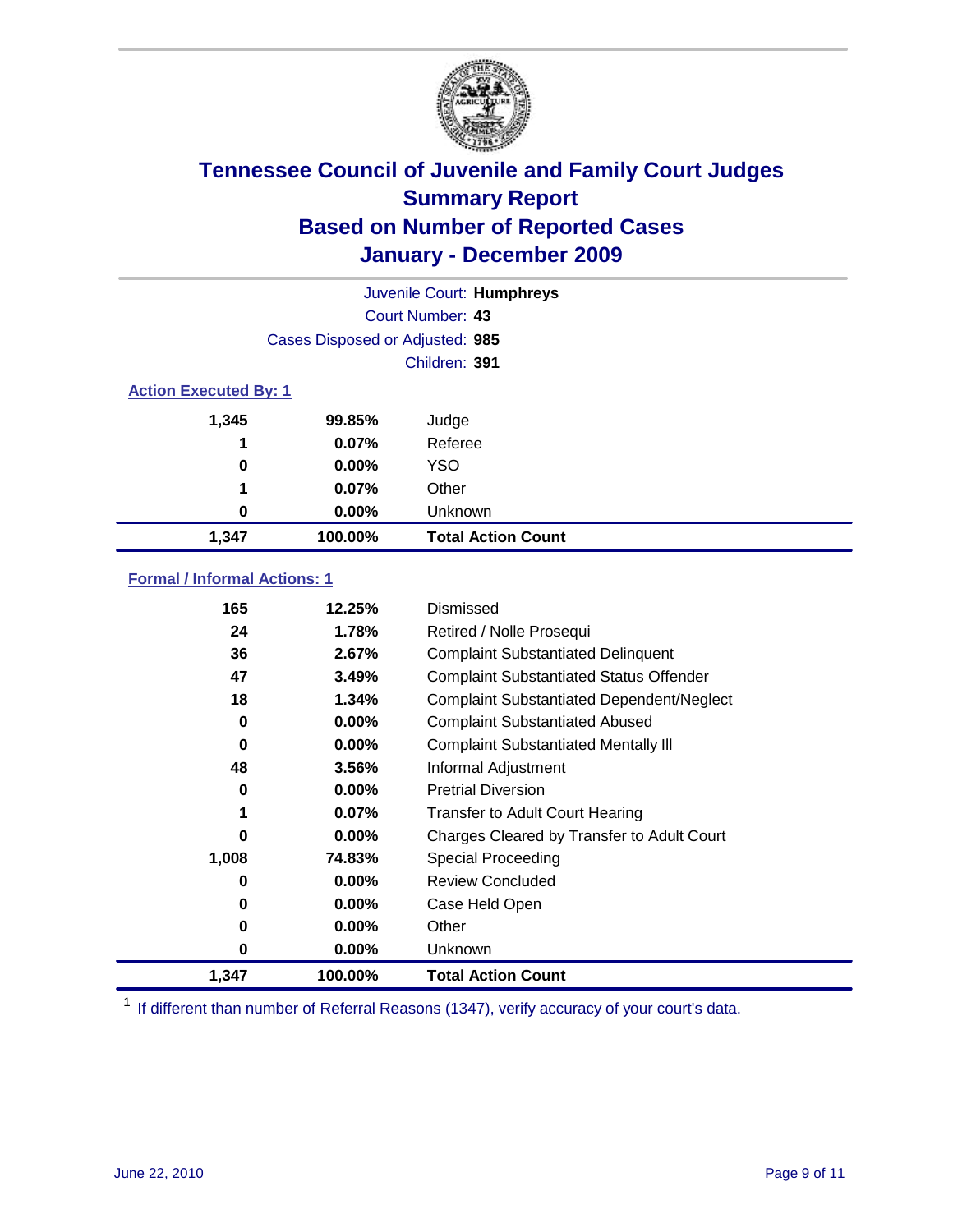

| Juvenile Court: Humphreys    |                                 |                           |  |  |
|------------------------------|---------------------------------|---------------------------|--|--|
|                              | Court Number: 43                |                           |  |  |
|                              | Cases Disposed or Adjusted: 985 |                           |  |  |
|                              | Children: 391                   |                           |  |  |
| <b>Action Executed By: 1</b> |                                 |                           |  |  |
| 1,345                        | 99.85%                          | Judge                     |  |  |
| 1                            | 0.07%                           | Referee                   |  |  |
| 0                            | $0.00\%$                        | <b>YSO</b>                |  |  |
| 1                            | 0.07%                           | Other                     |  |  |
| 0                            | 0.00%                           | Unknown                   |  |  |
| 1,347                        | 100.00%                         | <b>Total Action Count</b> |  |  |

### **Formal / Informal Actions: 1**

| 165   | 12.25%   | Dismissed                                        |
|-------|----------|--------------------------------------------------|
| 24    | 1.78%    | Retired / Nolle Prosequi                         |
| 36    | 2.67%    | <b>Complaint Substantiated Delinquent</b>        |
| 47    | 3.49%    | <b>Complaint Substantiated Status Offender</b>   |
| 18    | 1.34%    | <b>Complaint Substantiated Dependent/Neglect</b> |
| 0     | $0.00\%$ | <b>Complaint Substantiated Abused</b>            |
| 0     | $0.00\%$ | <b>Complaint Substantiated Mentally III</b>      |
| 48    | 3.56%    | Informal Adjustment                              |
| 0     | $0.00\%$ | <b>Pretrial Diversion</b>                        |
| 1     | $0.07\%$ | <b>Transfer to Adult Court Hearing</b>           |
| 0     | $0.00\%$ | Charges Cleared by Transfer to Adult Court       |
| 1,008 | 74.83%   | Special Proceeding                               |
| 0     | $0.00\%$ | <b>Review Concluded</b>                          |
| 0     | $0.00\%$ | Case Held Open                                   |
| 0     | $0.00\%$ | Other                                            |
| 0     | $0.00\%$ | <b>Unknown</b>                                   |
| 1,347 | 100.00%  | <b>Total Action Count</b>                        |

<sup>1</sup> If different than number of Referral Reasons (1347), verify accuracy of your court's data.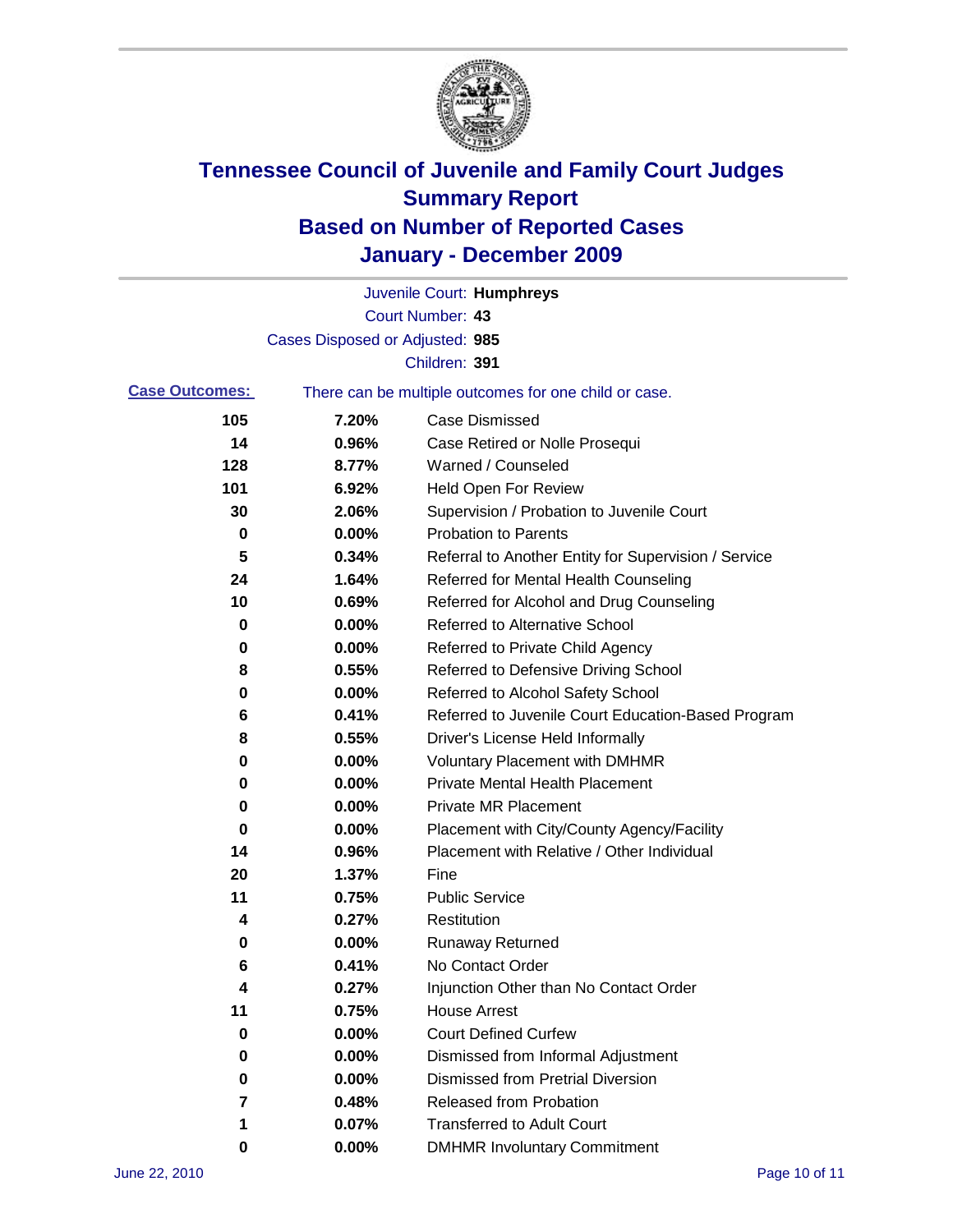

|                       |                                 | Juvenile Court: Humphreys                             |
|-----------------------|---------------------------------|-------------------------------------------------------|
|                       |                                 | Court Number: 43                                      |
|                       | Cases Disposed or Adjusted: 985 |                                                       |
|                       |                                 | Children: 391                                         |
| <b>Case Outcomes:</b> |                                 | There can be multiple outcomes for one child or case. |
| 105                   | 7.20%                           | <b>Case Dismissed</b>                                 |
| 14                    | 0.96%                           | Case Retired or Nolle Prosequi                        |
| 128                   | 8.77%                           | Warned / Counseled                                    |
| 101                   | 6.92%                           | <b>Held Open For Review</b>                           |
| 30                    | 2.06%                           | Supervision / Probation to Juvenile Court             |
| 0                     | 0.00%                           | <b>Probation to Parents</b>                           |
| 5                     | 0.34%                           | Referral to Another Entity for Supervision / Service  |
| 24                    | 1.64%                           | Referred for Mental Health Counseling                 |
| 10                    | 0.69%                           | Referred for Alcohol and Drug Counseling              |
| 0                     | 0.00%                           | <b>Referred to Alternative School</b>                 |
| 0                     | 0.00%                           | Referred to Private Child Agency                      |
| 8                     | 0.55%                           | Referred to Defensive Driving School                  |
| 0                     | 0.00%                           | Referred to Alcohol Safety School                     |
| 6                     | 0.41%                           | Referred to Juvenile Court Education-Based Program    |
| 8                     | 0.55%                           | Driver's License Held Informally                      |
| 0                     | 0.00%                           | <b>Voluntary Placement with DMHMR</b>                 |
| 0                     | 0.00%                           | <b>Private Mental Health Placement</b>                |
| 0                     | 0.00%                           | <b>Private MR Placement</b>                           |
| 0                     | 0.00%                           | Placement with City/County Agency/Facility            |
| 14                    | 0.96%                           | Placement with Relative / Other Individual            |
| 20                    | 1.37%                           | Fine                                                  |
| 11                    | 0.75%                           | <b>Public Service</b>                                 |
| 4                     | 0.27%                           | Restitution                                           |
| 0                     | 0.00%                           | <b>Runaway Returned</b>                               |
| 6                     | 0.41%                           | No Contact Order                                      |
| 4                     | 0.27%                           | Injunction Other than No Contact Order                |
| 11                    | 0.75%                           | <b>House Arrest</b>                                   |
| 0                     | 0.00%                           | <b>Court Defined Curfew</b>                           |
| 0                     | 0.00%                           | Dismissed from Informal Adjustment                    |
| 0                     | 0.00%                           | <b>Dismissed from Pretrial Diversion</b>              |
| 7                     | 0.48%                           | Released from Probation                               |
| 1                     | 0.07%                           | <b>Transferred to Adult Court</b>                     |
| 0                     | $0.00\%$                        | <b>DMHMR Involuntary Commitment</b>                   |